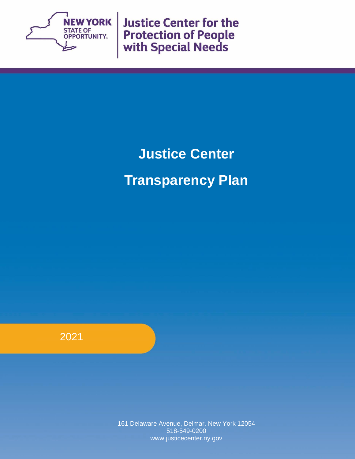

**Justice Center for the Protection of People<br>with Special Needs** 

# **Justice Center Transparency Plan**

2021

161 Delaware Avenue, Delmar, New York 12054 518-549-0200 www.justicecenter.ny.gov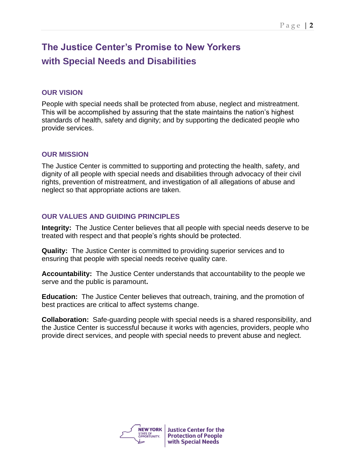# **The Justice Center's Promise to New Yorkers with Special Needs and Disabilities**

#### **OUR VISION**

People with special needs shall be protected from abuse, neglect and mistreatment. This will be accomplished by assuring that the state maintains the nation's highest standards of health, safety and dignity; and by supporting the dedicated people who provide services.

#### **OUR MISSION**

The Justice Center is committed to supporting and protecting the health, safety, and dignity of all people with special needs and disabilities through advocacy of their civil rights, prevention of mistreatment, and investigation of all allegations of abuse and neglect so that appropriate actions are taken.

#### **OUR VALUES AND GUIDING PRINCIPLES**

**Integrity:** The Justice Center believes that all people with special needs deserve to be treated with respect and that people's rights should be protected.

**Quality:** The Justice Center is committed to providing superior services and to ensuring that people with special needs receive quality care.

**Accountability:** The Justice Center understands that accountability to the people we serve and the public is paramount**.** 

**Education:** The Justice Center believes that outreach, training, and the promotion of best practices are critical to affect systems change.

**Collaboration:** Safe-guarding people with special needs is a shared responsibility, and the Justice Center is successful because it works with agencies, providers, people who provide direct services, and people with special needs to prevent abuse and neglect.

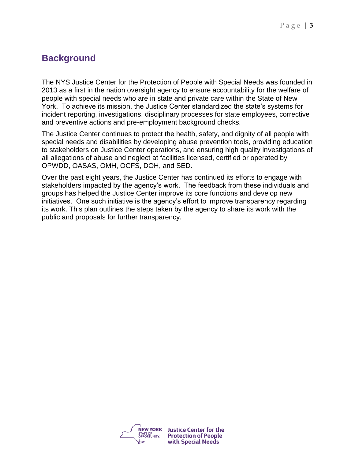# **Background**

The NYS Justice Center for the Protection of People with Special Needs was founded in 2013 as a first in the nation oversight agency to ensure accountability for the welfare of people with special needs who are in state and private care within the State of New York. To achieve its mission, the Justice Center standardized the state's systems for incident reporting, investigations, disciplinary processes for state employees, corrective and preventive actions and pre-employment background checks.

The Justice Center continues to protect the health, safety, and dignity of all people with special needs and disabilities by developing abuse prevention tools, providing education to stakeholders on Justice Center operations, and ensuring high quality investigations of all allegations of abuse and neglect at facilities licensed, certified or operated by OPWDD, OASAS, OMH, OCFS, DOH, and SED.

Over the past eight years, the Justice Center has continued its efforts to engage with stakeholders impacted by the agency's work. The feedback from these individuals and groups has helped the Justice Center improve its core functions and develop new initiatives. One such initiative is the agency's effort to improve transparency regarding its work. This plan outlines the steps taken by the agency to share its work with the public and proposals for further transparency.

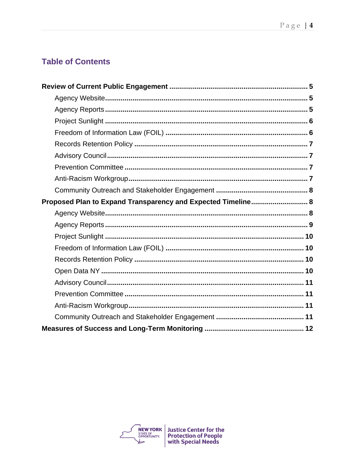# **Table of Contents**

| Proposed Plan to Expand Transparency and Expected Timeline 8 |
|--------------------------------------------------------------|
|                                                              |
|                                                              |
|                                                              |
|                                                              |
|                                                              |
|                                                              |
|                                                              |
|                                                              |
|                                                              |
|                                                              |
|                                                              |

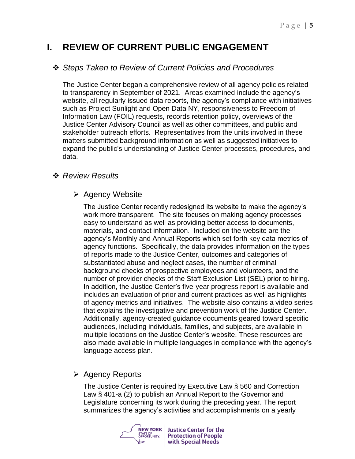# **I. REVIEW OF CURRENT PUBLIC ENGAGEMENT**

# ❖ *Steps Taken to Review of Current Policies and Procedures*

The Justice Center began a comprehensive review of all agency policies related to transparency in September of 2021. Areas examined include the agency's website, all regularly issued data reports, the agency's compliance with initiatives such as Project Sunlight and Open Data NY, responsiveness to Freedom of Information Law (FOIL) requests, records retention policy, overviews of the Justice Center Advisory Council as well as other committees, and public and stakeholder outreach efforts. Representatives from the units involved in these matters submitted background information as well as suggested initiatives to expand the public's understanding of Justice Center processes, procedures, and data.

## ❖ *Review Results*

## ➢ Agency Website

The Justice Center recently redesigned its website to make the agency's work more transparent. The site focuses on making agency processes easy to understand as well as providing better access to documents, materials, and contact information. Included on the website are the agency's Monthly and Annual Reports which set forth key data metrics of agency functions. Specifically, the data provides information on the types of reports made to the Justice Center, outcomes and categories of substantiated abuse and neglect cases, the number of criminal background checks of prospective employees and volunteers, and the number of provider checks of the Staff Exclusion List (SEL) prior to hiring. In addition, the Justice Center's five-year progress report is available and includes an evaluation of prior and current practices as well as highlights of agency metrics and initiatives. The website also contains a video series that explains the investigative and prevention work of the Justice Center. Additionally, agency-created guidance documents geared toward specific audiences, including individuals, families, and subjects, are available in multiple locations on the Justice Center's website. These resources are also made available in multiple languages in compliance with the agency's language access plan.

# ➢ Agency Reports

The Justice Center is required by Executive Law § 560 and Correction Law § 401-a (2) to publish an Annual Report to the Governor and Legislature concerning its work during the preceding year. The report summarizes the agency's activities and accomplishments on a yearly

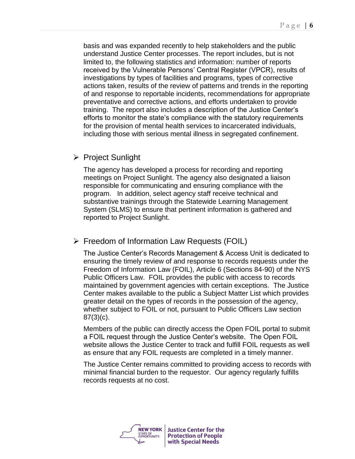basis and was expanded recently to help stakeholders and the public understand Justice Center processes. The report includes, but is not limited to, the following statistics and information: number of reports received by the Vulnerable Persons' Central Register (VPCR), results of investigations by types of facilities and programs, types of corrective actions taken, results of the review of patterns and trends in the reporting of and response to reportable incidents, recommendations for appropriate preventative and corrective actions, and efforts undertaken to provide training. The report also includes a description of the Justice Center's efforts to monitor the state's compliance with the statutory requirements for the provision of mental health services to incarcerated individuals, including those with serious mental illness in segregated confinement.

## ➢ Project Sunlight

The agency has developed a process for recording and reporting meetings on Project Sunlight. The agency also designated a liaison responsible for communicating and ensuring compliance with the program. In addition, select agency staff receive technical and substantive trainings through the Statewide Learning Management System (SLMS) to ensure that pertinent information is gathered and reported to Project Sunlight.

➢ Freedom of Information Law Requests (FOIL)

The Justice Center's Records Management & Access Unit is dedicated to ensuring the timely review of and response to records requests under the Freedom of Information Law (FOIL), Article 6 (Sections 84-90) of the NYS Public Officers Law. FOIL provides the public with access to records maintained by government agencies with certain exceptions. The Justice Center makes available to the public a Subject Matter List which provides greater detail on the types of records in the possession of the agency, whether subject to FOIL or not, pursuant to Public Officers Law section 87(3)(c).

Members of the public can directly access the Open FOIL portal to submit a FOIL request through the Justice Center's website. The Open FOIL website allows the Justice Center to track and fulfill FOIL requests as well as ensure that any FOIL requests are completed in a timely manner.

The Justice Center remains committed to providing access to records with minimal financial burden to the requestor. Our agency regularly fulfills records requests at no cost.

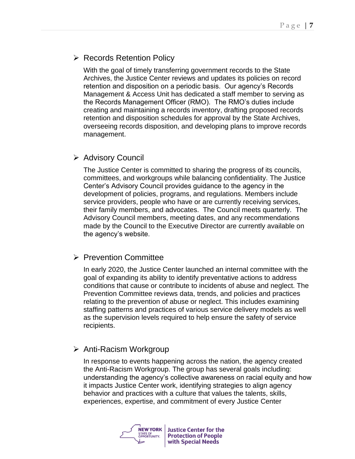# ➢ Records Retention Policy

With the goal of timely transferring government records to the State Archives, the Justice Center reviews and updates its policies on record retention and disposition on a periodic basis. Our agency's Records Management & Access Unit has dedicated a staff member to serving as the Records Management Officer (RMO). The RMO's duties include creating and maintaining a records inventory, drafting proposed records retention and disposition schedules for approval by the State Archives, overseeing records disposition, and developing plans to improve records management.

# ➢ Advisory Council

The Justice Center is committed to sharing the progress of its councils, committees, and workgroups while balancing confidentiality. The Justice Center's Advisory Council provides guidance to the agency in the development of policies, programs, and regulations. Members include service providers, people who have or are currently receiving services, their family members, and advocates. The Council meets quarterly. The Advisory Council members, meeting dates, and any recommendations made by the Council to the Executive Director are currently available on the agency's website.

## ➢ Prevention Committee

In early 2020, the Justice Center launched an internal committee with the goal of expanding its ability to identify preventative actions to address conditions that cause or contribute to incidents of abuse and neglect. The Prevention Committee reviews data, trends, and policies and practices relating to the prevention of abuse or neglect. This includes examining staffing patterns and practices of various service delivery models as well as the supervision levels required to help ensure the safety of service recipients.

# ➢ Anti-Racism Workgroup

In response to events happening across the nation, the agency created the Anti-Racism Workgroup. The group has several goals including: understanding the agency's collective awareness on racial equity and how it impacts Justice Center work, identifying strategies to align agency behavior and practices with a culture that values the talents, skills, experiences, expertise, and commitment of every Justice Center

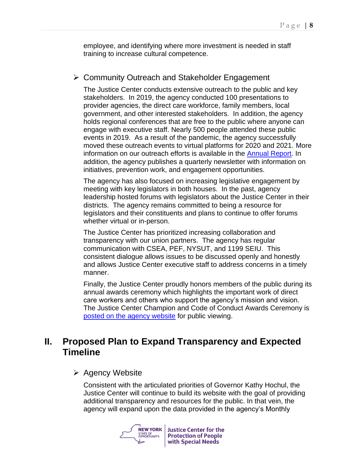employee, and identifying where more investment is needed in staff training to increase cultural competence.

## ➢ Community Outreach and Stakeholder Engagement

The Justice Center conducts extensive outreach to the public and key stakeholders. In 2019, the agency conducted 100 presentations to provider agencies, the direct care workforce, family members, local government, and other interested stakeholders. In addition, the agency holds regional conferences that are free to the public where anyone can engage with executive staff. Nearly 500 people attended these public events in 2019. As a result of the pandemic, the agency successfully moved these outreach events to virtual platforms for 2020 and 2021. More information on our outreach efforts is available in the [Annual Report.](https://www.justicecenter.ny.gov/pressroom) In addition, the agency publishes a quarterly newsletter with information on initiatives, prevention work, and engagement opportunities.

The agency has also focused on increasing legislative engagement by meeting with key legislators in both houses. In the past, agency leadership hosted forums with legislators about the Justice Center in their districts. The agency remains committed to being a resource for legislators and their constituents and plans to continue to offer forums whether virtual or in-person.

The Justice Center has prioritized increasing collaboration and transparency with our union partners. The agency has regular communication with CSEA, PEF, NYSUT, and 1199 SEIU. This consistent dialogue allows issues to be discussed openly and honestly and allows Justice Center executive staff to address concerns in a timely manner.

Finally, the Justice Center proudly honors members of the public during its annual awards ceremony which highlights the important work of direct care workers and others who support the agency's mission and vision. The Justice Center Champion and Code of Conduct Awards Ceremony is [posted on the agency website](https://www.youtube.com/watch?v=uadWVQmp4SM) for public viewing.

# **II. Proposed Plan to Expand Transparency and Expected Timeline**

## ➢ Agency Website

Consistent with the articulated priorities of Governor Kathy Hochul, the Justice Center will continue to build its website with the goal of providing additional transparency and resources for the public. In that vein, the agency will expand upon the data provided in the agency's Monthly

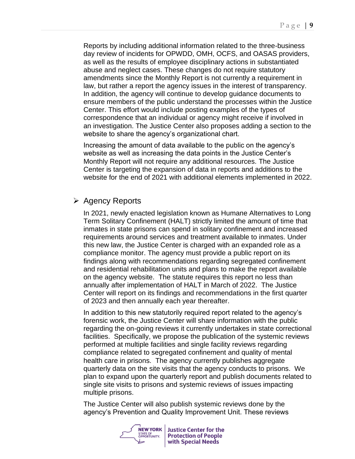Reports by including additional information related to the three-business day review of incidents for OPWDD, OMH, OCFS, and OASAS providers, as well as the results of employee disciplinary actions in substantiated abuse and neglect cases. These changes do not require statutory amendments since the Monthly Report is not currently a requirement in law, but rather a report the agency issues in the interest of transparency. In addition, the agency will continue to develop guidance documents to ensure members of the public understand the processes within the Justice Center. This effort would include posting examples of the types of correspondence that an individual or agency might receive if involved in an investigation. The Justice Center also proposes adding a section to the website to share the agency's organizational chart.

Increasing the amount of data available to the public on the agency's website as well as increasing the data points in the Justice Center's Monthly Report will not require any additional resources. The Justice Center is targeting the expansion of data in reports and additions to the website for the end of 2021 with additional elements implemented in 2022.

## ➢ Agency Reports

In 2021, newly enacted legislation known as Humane Alternatives to Long Term Solitary Confinement (HALT) strictly limited the amount of time that inmates in state prisons can spend in solitary confinement and increased requirements around services and treatment available to inmates. Under this new law, the Justice Center is charged with an expanded role as a compliance monitor. The agency must provide a public report on its findings along with recommendations regarding segregated confinement and residential rehabilitation units and plans to make the report available on the agency website. The statute requires this report no less than annually after implementation of HALT in March of 2022. The Justice Center will report on its findings and recommendations in the first quarter of 2023 and then annually each year thereafter.

In addition to this new statutorily required report related to the agency's forensic work, the Justice Center will share information with the public regarding the on-going reviews it currently undertakes in state correctional facilities. Specifically, we propose the publication of the systemic reviews performed at multiple facilities and single facility reviews regarding compliance related to segregated confinement and quality of mental health care in prisons. The agency currently publishes aggregate quarterly data on the site visits that the agency conducts to prisons. We plan to expand upon the quarterly report and publish documents related to single site visits to prisons and systemic reviews of issues impacting multiple prisons.

The Justice Center will also publish systemic reviews done by the agency's Prevention and Quality Improvement Unit. These reviews

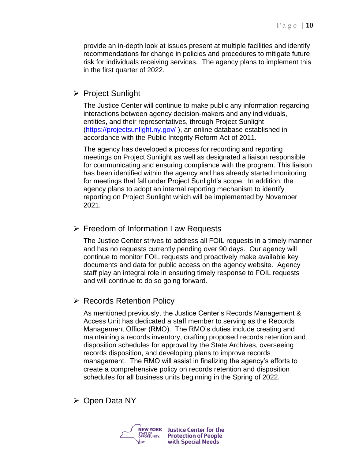provide an in-depth look at issues present at multiple facilities and identify recommendations for change in policies and procedures to mitigate future risk for individuals receiving services. The agency plans to implement this in the first quarter of 2022.

## ➢ Project Sunlight

The Justice Center will continue to make public any information regarding interactions between agency decision-makers and any individuals, entities, and their representatives, through Project Sunlight [\(https://projectsunlight.ny.gov/](https://projectsunlight.ny.gov/) ), an online database established in accordance with the Public Integrity Reform Act of 2011.

The agency has developed a process for recording and reporting meetings on Project Sunlight as well as designated a liaison responsible for communicating and ensuring compliance with the program. This liaison has been identified within the agency and has already started monitoring for meetings that fall under Project Sunlight's scope. In addition, the agency plans to adopt an internal reporting mechanism to identify reporting on Project Sunlight which will be implemented by November 2021.

#### ➢ Freedom of Information Law Requests

The Justice Center strives to address all FOIL requests in a timely manner and has no requests currently pending over 90 days. Our agency will continue to monitor FOIL requests and proactively make available key documents and data for public access on the agency website. Agency staff play an integral role in ensuring timely response to FOIL requests and will continue to do so going forward.

## ➢ Records Retention Policy

As mentioned previously, the Justice Center's Records Management & Access Unit has dedicated a staff member to serving as the Records Management Officer (RMO). The RMO's duties include creating and maintaining a records inventory, drafting proposed records retention and disposition schedules for approval by the State Archives, overseeing records disposition, and developing plans to improve records management. The RMO will assist in finalizing the agency's efforts to create a comprehensive policy on records retention and disposition schedules for all business units beginning in the Spring of 2022.

## ➢ Open Data NY

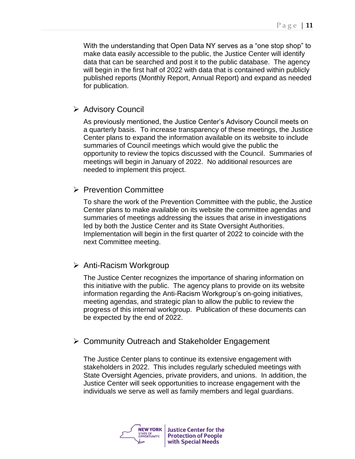With the understanding that Open Data NY serves as a "one stop shop" to make data easily accessible to the public, the Justice Center will identify data that can be searched and post it to the public database. The agency will begin in the first half of 2022 with data that is contained within publicly published reports (Monthly Report, Annual Report) and expand as needed for publication.

## ➢ Advisory Council

As previously mentioned, the Justice Center's Advisory Council meets on a quarterly basis. To increase transparency of these meetings, the Justice Center plans to expand the information available on its website to include summaries of Council meetings which would give the public the opportunity to review the topics discussed with the Council. Summaries of meetings will begin in January of 2022. No additional resources are needed to implement this project.

## ➢ Prevention Committee

To share the work of the Prevention Committee with the public, the Justice Center plans to make available on its website the committee agendas and summaries of meetings addressing the issues that arise in investigations led by both the Justice Center and its State Oversight Authorities. Implementation will begin in the first quarter of 2022 to coincide with the next Committee meeting.

## ➢ Anti-Racism Workgroup

The Justice Center recognizes the importance of sharing information on this initiative with the public. The agency plans to provide on its website information regarding the Anti-Racism Workgroup's on-going initiatives, meeting agendas, and strategic plan to allow the public to review the progress of this internal workgroup. Publication of these documents can be expected by the end of 2022.

## ➢ Community Outreach and Stakeholder Engagement

The Justice Center plans to continue its extensive engagement with stakeholders in 2022. This includes regularly scheduled meetings with State Oversight Agencies, private providers, and unions. In addition, the Justice Center will seek opportunities to increase engagement with the individuals we serve as well as family members and legal guardians.